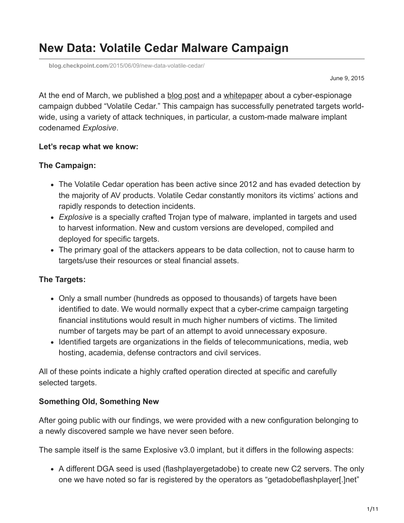## **New Data: Volatile Cedar Malware Campaign**

**blog.checkpoint.com**[/2015/06/09/new-data-volatile-cedar/](https://blog.checkpoint.com/2015/06/09/new-data-volatile-cedar/)

June 9, 2015

At the end of March, we published a [blog post](http://blog.checkpoint.com/2015/03/31/volatilecedar/) and a [whitepaper](https://www.checkpoint.com/downloads/volatile-cedar-technical-report.pdf) about a cyber-espionage campaign dubbed "Volatile Cedar." This campaign has successfully penetrated targets worldwide, using a variety of attack techniques, in particular, a custom-made malware implant codenamed *Explosive*.

#### **Let's recap what we know:**

#### **The Campaign:**

- The Volatile Cedar operation has been active since 2012 and has evaded detection by the majority of AV products. Volatile Cedar constantly monitors its victims' actions and rapidly responds to detection incidents.
- *Explosive* is a specially crafted Trojan type of malware, implanted in targets and used to harvest information. New and custom versions are developed, compiled and deployed for specific targets.
- The primary goal of the attackers appears to be data collection, not to cause harm to targets/use their resources or steal financial assets.

#### **The Targets:**

- Only a small number (hundreds as opposed to thousands) of targets have been identified to date. We would normally expect that a cyber-crime campaign targeting financial institutions would result in much higher numbers of victims. The limited number of targets may be part of an attempt to avoid unnecessary exposure.
- Identified targets are organizations in the fields of telecommunications, media, web hosting, academia, defense contractors and civil services.

All of these points indicate a highly crafted operation directed at specific and carefully selected targets.

#### **Something Old, Something New**

After going public with our findings, we were provided with a new configuration belonging to a newly discovered sample we have never seen before.

The sample itself is the same Explosive v3.0 implant, but it differs in the following aspects:

A different DGA seed is used (flashplayergetadobe) to create new C2 servers. The only one we have noted so far is registered by the operators as "getadobeflashplayer[.]net"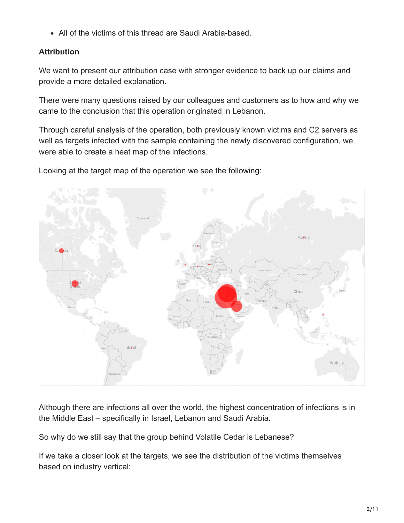All of the victims of this thread are Saudi Arabia-based.

## **Attribution**

We want to present our attribution case with stronger evidence to back up our claims and provide a more detailed explanation.

There were many questions raised by our colleagues and customers as to how and why we came to the conclusion that this operation originated in Lebanon.

Through careful analysis of the operation, both previously known victims and C2 servers as well as targets infected with the sample containing the newly discovered configuration, we were able to create a heat map of the infections.

Looking at the target map of the operation we see the following:



Although there are infections all over the world, the highest concentration of infections is in the Middle East – specifically in Israel, Lebanon and Saudi Arabia.

So why do we still say that the group behind Volatile Cedar is Lebanese?

If we take a closer look at the targets, we see the distribution of the victims themselves based on industry vertical: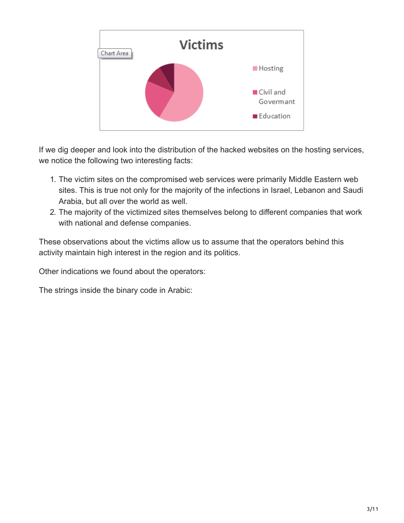

If we dig deeper and look into the distribution of the hacked websites on the hosting services, we notice the following two interesting facts:

- 1. The victim sites on the compromised web services were primarily Middle Eastern web sites. This is true not only for the majority of the infections in Israel, Lebanon and Saudi Arabia, but all over the world as well.
- 2. The majority of the victimized sites themselves belong to different companies that work with national and defense companies.

These observations about the victims allow us to assume that the operators behind this activity maintain high interest in the region and its politics.

Other indications we found about the operators:

The strings inside the binary code in Arabic: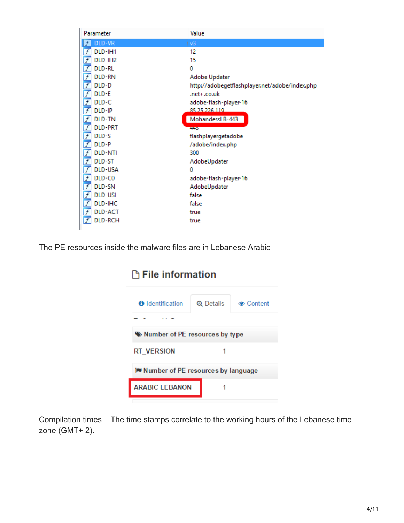| Parameter                                       | Value                                          |
|-------------------------------------------------|------------------------------------------------|
| DLD-VR                                          | v3                                             |
| DLD-IH1<br>f                                    | 12                                             |
| $\overline{f}$<br>DLD-IH2                       | 15                                             |
| $\overline{f}$<br>DLD-RL                        | $\Omega$                                       |
| $\overline{f}$<br>DLD-RN                        | Adobe Updater                                  |
| $\overline{f}$<br>DLD-D                         | http://adobegetflashplayer.net/adobe/index.php |
| <u>  f   f   f   f   f   f   f   f</u><br>DLD-E | .net+.co.uk                                    |
| DLD-C                                           | adobe-flash-player-16                          |
| DLD-IP                                          | 85 25 226 119                                  |
| DLD-TN                                          | MohandessLB-443                                |
| <b>DLD-PRT</b>                                  | 445                                            |
| DLD-S                                           | flashplayergetadobe                            |
| DLD-P                                           | /adobe/index.php                               |
| <b>DLD-NTI</b>                                  | 300                                            |
| DLD-ST                                          | AdobeUpdater                                   |
| DLD-USA                                         | 0                                              |
| DLD-C0                                          | adobe-flash-player-16                          |
| DLD-SN                                          | AdobeUpdater                                   |
| <b>DLD-USI</b>                                  | false                                          |
| <u>f f f f f f</u><br>DLD-IHC                   | false                                          |
| DLD-ACT                                         | true                                           |
| $\overline{f}$<br>DLD-RCH                       | true                                           |
|                                                 |                                                |

The PE resources inside the malware files are in Lebanese Arabic

# **D** File information

| <b>O</b> Identification               |  | Q Details | <b>Content</b> |  |  |
|---------------------------------------|--|-----------|----------------|--|--|
|                                       |  |           |                |  |  |
| We Number of PE resources by type     |  |           |                |  |  |
| <b>RT VERSION</b>                     |  |           |                |  |  |
| i■ Number of PE resources by language |  |           |                |  |  |
| <b>ARABIC LEBANON</b>                 |  |           |                |  |  |
|                                       |  |           |                |  |  |

Compilation times – The time stamps correlate to the working hours of the Lebanese time zone (GMT+ 2).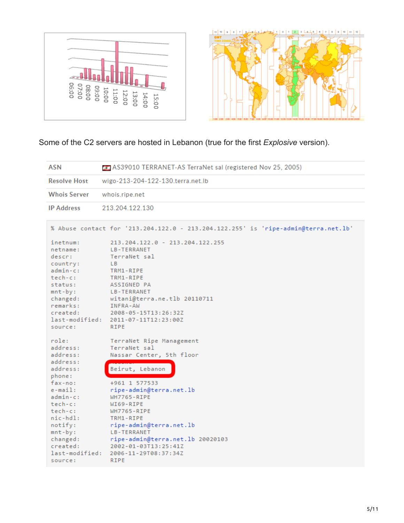

Some of the C2 servers are hosted in Lebanon (true for the first *Explosive* version).

| <b>ASN</b>                                                                                                                                                                     | AS39010 TERRANET-AS TerraNet sal (registered Nov 25, 2005)                                                                                                                                                                                                                     |  |
|--------------------------------------------------------------------------------------------------------------------------------------------------------------------------------|--------------------------------------------------------------------------------------------------------------------------------------------------------------------------------------------------------------------------------------------------------------------------------|--|
| <b>Resolve Host</b>                                                                                                                                                            | wigo-213-204-122-130.terra.net.lb                                                                                                                                                                                                                                              |  |
| <b>Whois Server</b>                                                                                                                                                            | whois.ripe.net                                                                                                                                                                                                                                                                 |  |
| <b>IP Address</b>                                                                                                                                                              | 213.204.122.130                                                                                                                                                                                                                                                                |  |
|                                                                                                                                                                                | % Abuse contact for '213.204.122.0 - 213.204.122.255' is 'ripe-admin@terra.net.lb'                                                                                                                                                                                             |  |
| inetnum:<br>netname:<br>descr:<br>country:<br>admin-c:<br>$tech-c:$<br>status:<br>$mnt-by:$<br>changed:<br>remarks:<br>created:<br>last-modified:<br>source:                   | 213.204.122.0 - 213.204.122.255<br>LB-TERRANET<br>TerraNet sal<br>L <sub>B</sub><br>TRM1-RIPE<br>TRM1-RIPE<br>ASSIGNED PA<br>LB-TERRANET<br>witani@terra.ne.tlb 20110711<br>INFRA-AW<br>2008-05-15T13:26:32Z<br>2011-07-11T12:23:00Z<br><b>RIPE</b>                            |  |
| role:<br>address:<br>address:<br>address:                                                                                                                                      | TerraNet Ripe Management<br>TerraNet sal<br>Nassar Center, 5th floor                                                                                                                                                                                                           |  |
| address:<br>phone:<br>$fax-no:$<br>$e$ -mail:<br>$admin-c$ :<br>tech-c:<br>tech-c:<br>$nic-hdl$ :<br>notify:<br>$mnt-by:$<br>changed:<br>created:<br>last-modified:<br>source: | Beirut, Lebanon<br>+961 1 577533<br>ripe-admin@terra.net.lb<br><b>WH7765-RIPE</b><br>WI69-RIPE<br><b>WH7765-RIPE</b><br>TRM1-RIPE<br>ripe-admin@terra.net.lb<br>LB-TERRANET<br>ripe-admin@terra.net.lb 20020103<br>2002-01-03T13:25:41Z<br>2006-11-29T08:37:34Z<br><b>RIPE</b> |  |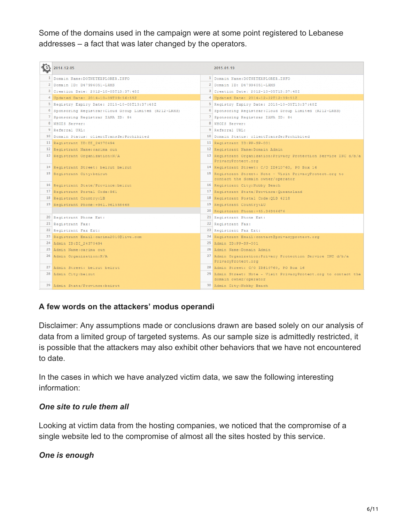Some of the domains used in the campaign were at some point registered to Lebanese addresses – a fact that was later changed by the operators.

|   | 2014-12-05                                              | 2015-01-19                                                                        |
|---|---------------------------------------------------------|-----------------------------------------------------------------------------------|
| 1 | Domain Name: DOTNETEXPLORER. INFO                       | <sup>1</sup> Domain Name: DOTNETEXPLORER. INFO                                    |
|   | 2 Domain ID: D47996051-LRMS                             | 2 Domain ID: D47996051-LRMS                                                       |
|   | 3 Creation Date: 2012-10-05T13:37:48Z                   | 3 Creation Date: 2012-10-05T13:37:48Z                                             |
|   | 4 Updated Date: 2014-10-09T09:56:55Z                    | 4 Updated Date: 2014-12-22T12:39:51Z                                              |
|   | 5 Registry Expiry Date: 2015-10-05T13:37:48Z            | 5 Registry Expiry Date: 2015-10-05T13:37:48Z                                      |
|   | 6 Sponsoring Registrar: Cloud Group Limited (R212-LRMS) | 6 Sponsoring Registrar: Cloud Group Limited (R212-LRMS)                           |
|   | 7 Sponsoring Registrar IANA ID: 84                      | 7 Sponsoring Registrar IANA ID: 84                                                |
|   | 8 WHOIS Server:                                         | 8 WHOIS Server:                                                                   |
|   | 9 Referral URL:                                         | 9 Referral URL:                                                                   |
|   | 10 Domain Status: clientTransferProhibited              | 10 Domain Status: clientTransferProhibited                                        |
|   | 11 Registrant ID:DI 24370494                            | 11 Registrant ID: PP-SP-001                                                       |
|   | 12 Registrant Name: carima oun                          | 12 Registrant Name: Domain Admin                                                  |
|   | 13 Registrant Organization: N/A                         | 13 Registrant Organization: Privacy Protection Service INC d/b/a                  |
|   |                                                         | PrivacyProtect.org                                                                |
|   | 14 Registrant Street: beirut beirut                     | 14 Registrant Street: C/O ID#10760, PO Box 16                                     |
|   | 15 Registrant City: beirut                              | 15 Registrant Street: Note - Visit PrivacyProtect.org to                          |
|   |                                                         | contact the domain owner/operator                                                 |
|   | 16 Registrant State/Province: beirut                    | 16 Registrant City: Nobby Beach                                                   |
|   | 17 Registrant Postal Code: 961                          | 17 Registrant State/Province: Queensland                                          |
|   | 18 Registrant Country:LB                                | 18 Registrant Postal Code: QLD 4218                                               |
|   | 19 Registrant Phone: +961.961558668                     | 19 Registrant Country: AU                                                         |
|   |                                                         | 20 Registrant Phone: +45.36946676<br>21 Registrant Phone Ext:                     |
|   | 20 Registrant Phone Ext:                                |                                                                                   |
|   | 21 Registrant Fax:                                      | 22 Registrant Fax:                                                                |
|   | 22 Registrant Fax Ext:                                  | 23 Registrant Fax Ext:                                                            |
|   | 23 Registrant Email: carima2010@live.com                | 24 Registrant Email: contact@privacyprotect.org                                   |
|   | 24 Admin ID:DI 24370494                                 | 25 Admin ID: PP-SP-001                                                            |
|   | 25 Admin Name: carima oun                               | 26 Admin Name: Domain Admin                                                       |
|   | 26 Admin Organization: N/A                              | 27 Admin Organization: Privacy Protection Service INC d/b/a<br>PrivacyProtect.org |
|   | 27 Admin Street: beirut beirut                          | 28 Admin Street: C/O ID#10760, PO Box 16                                          |
|   | 28 Admin City: beirut                                   | 29 Admin Street: Note - Visit PrivacyProtect.org to contact the                   |
|   |                                                         | domain owner/operator                                                             |
|   | 29 Admin State/Province: beirut                         | 30 Admin City: Nobby Beach                                                        |

#### **A few words on the attackers' modus operandi**

Disclaimer: Any assumptions made or conclusions drawn are based solely on our analysis of data from a limited group of targeted systems. As our sample size is admittedly restricted, it is possible that the attackers may also exhibit other behaviors that we have not encountered to date.

In the cases in which we have analyzed victim data, we saw the following interesting information:

#### *One site to rule them all*

Looking at victim data from the hosting companies, we noticed that the compromise of a single website led to the compromise of almost all the sites hosted by this service.

#### *One is enough*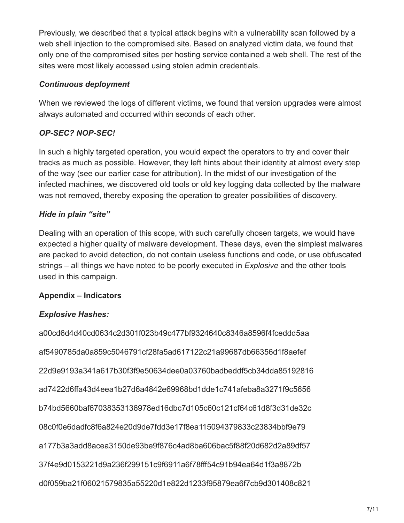Previously, we described that a typical attack begins with a vulnerability scan followed by a web shell injection to the compromised site. Based on analyzed victim data, we found that only one of the compromised sites per hosting service contained a web shell. The rest of the sites were most likely accessed using stolen admin credentials.

## *Continuous deployment*

When we reviewed the logs of different victims, we found that version upgrades were almost always automated and occurred within seconds of each other.

## *OP-SEC? NOP-SEC!*

In such a highly targeted operation, you would expect the operators to try and cover their tracks as much as possible. However, they left hints about their identity at almost every step of the way (see our earlier case for attribution). In the midst of our investigation of the infected machines, we discovered old tools or old key logging data collected by the malware was not removed, thereby exposing the operation to greater possibilities of discovery.

## *Hide in plain "site"*

Dealing with an operation of this scope, with such carefully chosen targets, we would have expected a higher quality of malware development. These days, even the simplest malwares are packed to avoid detection, do not contain useless functions and code, or use obfuscated strings – all things we have noted to be poorly executed in *Explosive* and the other tools used in this campaign.

## **Appendix – Indicators**

## *Explosive Hashes:*

a00cd6d4d40cd0634c2d301f023b49c477bf9324640c8346a8596f4fceddd5aa af5490785da0a859c5046791cf28fa5ad617122c21a99687db66356d1f8aefef 22d9e9193a341a617b30f3f9e50634dee0a03760badbeddf5cb34dda85192816 ad7422d6ffa43d4eea1b27d6a4842e69968bd1dde1c741afeba8a3271f9c5656 b74bd5660baf67038353136978ed16dbc7d105c60c121cf64c61d8f3d31de32c 08c0f0e6dadfc8f6a824e20d9de7fdd3e17f8ea115094379833c23834bbf9e79 a177b3a3add8acea3150de93be9f876c4ad8ba606bac5f88f20d682d2a89df57 37f4e9d0153221d9a236f299151c9f6911a6f78fff54c91b94ea64d1f3a8872b d0f059ba21f06021579835a55220d1e822d1233f95879ea6f7cb9d301408c821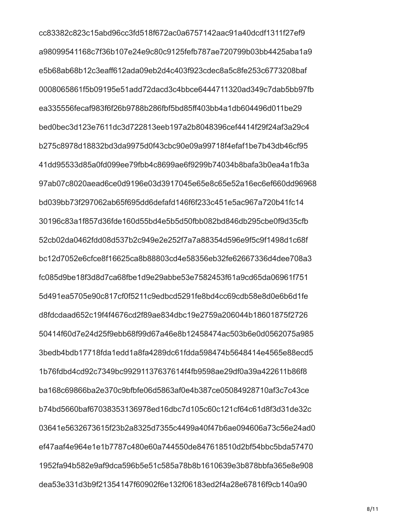cc83382c823c15abd96cc3fd518f672ac0a6757142aac91a40dcdf1311f27ef9 a98099541168c7f36b107e24e9c80c9125fefb787ae720799b03bb4425aba1a9 e5b68ab68b12c3eaff612ada09eb2d4c403f923cdec8a5c8fe253c6773208baf 0008065861f5b09195e51add72dacd3c4bbce6444711320ad349c7dab5bb97fb ea335556fecaf983f6f26b9788b286fbf5bd85ff403bb4a1db604496d011be29 bed0bec3d123e7611dc3d722813eeb197a2b8048396cef4414f29f24af3a29c4 b275c8978d18832bd3da9975d0f43cbc90e09a99718f4efaf1be7b43db46cf95 41dd95533d85a0fd099ee79fbb4c8699ae6f9299b74034b8bafa3b0ea4a1fb3a 97ab07c8020aead6ce0d9196e03d3917045e65e8c65e52a16ec6ef660dd96968 bd039bb73f297062ab65f695dd6defafd146f6f233c451e5ac967a720b41fc14 30196c83a1f857d36fde160d55bd4e5b5d50fbb082bd846db295cbe0f9d35cfb 52cb02da0462fdd08d537b2c949e2e252f7a7a88354d596e9f5c9f1498d1c68f bc12d7052e6cfce8f16625ca8b88803cd4e58356eb32fe62667336d4dee708a3 fc085d9be18f3d8d7ca68fbe1d9e29abbe53e7582453f61a9cd65da06961f751 5d491ea5705e90c817cf0f5211c9edbcd5291fe8bd4cc69cdb58e8d0e6b6d1fe d8fdcdaad652c19f4f4676cd2f89ae834dbc19e2759a206044b18601875f2726 50414f60d7e24d25f9ebb68f99d67a46e8b12458474ac503b6e0d0562075a985 3bedb4bdb17718fda1edd1a8fa4289dc61fdda598474b5648414e4565e88ecd5 1b76fdbd4cd92c7349bc99291137637614f4fb9598ae29df0a39a422611b86f8 ba168c69866ba2e370c9bfbfe06d5863af0e4b387ce05084928710af3c7c43ce b74bd5660baf67038353136978ed16dbc7d105c60c121cf64c61d8f3d31de32c 03641e5632673615f23b2a8325d7355c4499a40f47b6ae094606a73c56e24ad0 ef47aaf4e964e1e1b7787c480e60a744550de847618510d2bf54bbc5bda57470 1952fa94b582e9af9dca596b5e51c585a78b8b1610639e3b878bbfa365e8e908 dea53e331d3b9f21354147f60902f6e132f06183ed2f4a28e67816f9cb140a90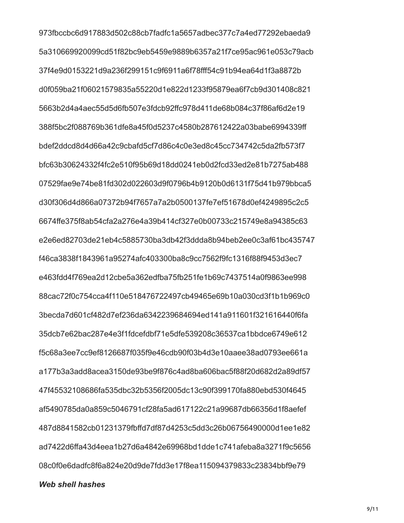973fbccbc6d917883d502c88cb7fadfc1a5657adbec377c7a4ed77292ebaeda9 5a310669920099cd51f82bc9eb5459e9889b6357a21f7ce95ac961e053c79acb 37f4e9d0153221d9a236f299151c9f6911a6f78fff54c91b94ea64d1f3a8872b d0f059ba21f06021579835a55220d1e822d1233f95879ea6f7cb9d301408c821 5663b2d4a4aec55d5d6fb507e3fdcb92ffc978d411de68b084c37f86af6d2e19 388f5bc2f088769b361dfe8a45f0d5237c4580b287612422a03babe6994339ff bdef2ddcd8d4d66a42c9cbafd5cf7d86c4c0e3ed8c45cc734742c5da2fb573f7 bfc63b30624332f4fc2e510f95b69d18dd0241eb0d2fcd33ed2e81b7275ab488 07529fae9e74be81fd302d022603d9f0796b4b9120b0d6131f75d41b979bbca5 d30f306d4d866a07372b94f7657a7a2b0500137fe7ef51678d0ef4249895c2c5 6674ffe375f8ab54cfa2a276e4a39b414cf327e0b00733c215749e8a94385c63 e2e6ed82703de21eb4c5885730ba3db42f3ddda8b94beb2ee0c3af61bc435747 f46ca3838f1843961a95274afc403300ba8c9cc7562f9fc1316f88f9453d3ec7 e463fdd4f769ea2d12cbe5a362edfba75fb251fe1b69c7437514a0f9863ee998 88cac72f0c754cca4f110e518476722497cb49465e69b10a030cd3f1b1b969c0 3becda7d601cf482d7ef236da6342239684694ed141a911601f321616440f6fa 35dcb7e62bac287e4e3f1fdcefdbf71e5dfe539208c36537ca1bbdce6749e612 f5c68a3ee7cc9ef8126687f035f9e46cdb90f03b4d3e10aaee38ad0793ee661a a177b3a3add8acea3150de93be9f876c4ad8ba606bac5f88f20d682d2a89df57 47f45532108686fa535dbc32b5356f2005dc13c90f399170fa880ebd530f4645 af5490785da0a859c5046791cf28fa5ad617122c21a99687db66356d1f8aefef 487d8841582cb01231379fbffd7df87d4253c5dd3c26b06756490000d1ee1e82 ad7422d6ffa43d4eea1b27d6a4842e69968bd1dde1c741afeba8a3271f9c5656 08c0f0e6dadfc8f6a824e20d9de7fdd3e17f8ea115094379833c23834bbf9e79 **Web shell hashes** 

 $9/11$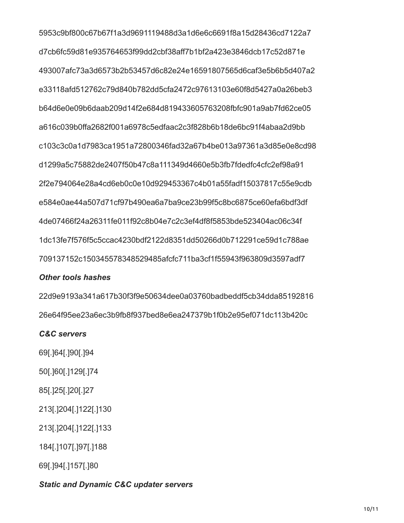5953c9bf800c67b67f1a3d9691119488d3a1d6e6c6691f8a15d28436cd7122a7 d7cb6fc59d81e935764653f99dd2cbf38aff7b1bf2a423e3846dcb17c52d871e 493007afc73a3d6573b2b53457d6c82e24e16591807565d6caf3e5b6b5d407a2 e33118afd512762c79d840b782dd5cfa2472c97613103e60f8d5427a0a26beb3 b64d6e0e09b6daab209d14f2e684d819433605763208fbfc901a9ab7fd62ce05 a616c039b0ffa2682f001a6978c5edfaac2c3f828b6b18de6bc91f4abaa2d9bb c103c3c0a1d7983ca1951a72800346fad32a67b4be013a97361a3d85e0e8cd98 d1299a5c75882de2407f50b47c8a111349d4660e5b3fb7fdedfc4cfc2ef98a91 2f2e794064e28a4cd6eb0c0e10d929453367c4b01a55fadf15037817c55e9cdb e584e0ae44a507d71cf97b490ea6a7ba9ce23b99f5c8bc6875ce60efa6bdf3df 4de07466f24a26311fe011f92c8b04e7c2c3ef4df8f5853bde523404ac06c34f 1dc13fe7f576f5c5ccac4230bdf2122d8351dd50266d0b712291ce59d1c788ae 709137152c150345578348529485afcfc711ba3cf1f55943f963809d3597adf7

#### **Other tools hashes**

22d9e9193a341a617b30f3f9e50634dee0a03760badbeddf5cb34dda85192816 26e64f95ee23a6ec3b9fb8f937bed8e6ea247379b1f0b2e95ef071dc113b420c

#### **C&C** servers

69[.164].190[.194

50[.]60[.]129[.]74

85[.]25[.]20[.]27

213[.]204[.]122[.]130

213[.]204[.]122[.]133

184[.]107[.]97[.]188

69[.]94[.]157[.]80

## **Static and Dynamic C&C updater servers**